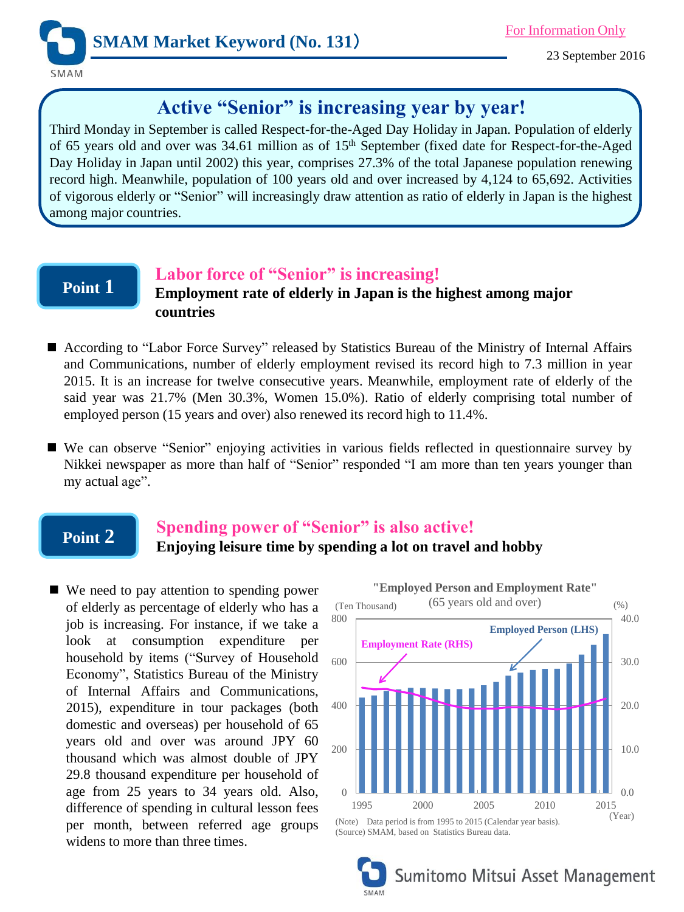

23 September 2016

# **Active "Senior" is increasing year by year!**

Third Monday in September is called Respect-for-the-Aged Day Holiday in Japan. Population of elderly of 65 years old and over was 34.61 million as of 15<sup>th</sup> September (fixed date for Respect-for-the-Aged Day Holiday in Japan until 2002) this year, comprises 27.3% of the total Japanese population renewing record high. Meanwhile, population of 100 years old and over increased by 4,124 to 65,692. Activities of vigorous elderly or "Senior" will increasingly draw attention as ratio of elderly in Japan is the highest among major countries.

## **Point 1**

#### **Labor force of "Senior" is increasing!**

**Employment rate of elderly in Japan is the highest among major countries**

- According to "Labor Force Survey" released by Statistics Bureau of the Ministry of Internal Affairs and Communications, number of elderly employment revised its record high to 7.3 million in year 2015. It is an increase for twelve consecutive years. Meanwhile, employment rate of elderly of the said year was 21.7% (Men 30.3%, Women 15.0%). Ratio of elderly comprising total number of employed person (15 years and over) also renewed its record high to 11.4%.
- We can observe "Senior" enjoying activities in various fields reflected in questionnaire survey by Nikkei newspaper as more than half of "Senior" responded "I am more than ten years younger than my actual age".

## **Point 2**

## **Spending power of "Senior" is also active! Enjoying leisure time by spending a lot on travel and hobby**

■ We need to pay attention to spending power of elderly as percentage of elderly who has a job is increasing. For instance, if we take a look at consumption expenditure per household by items ("Survey of Household Economy", Statistics Bureau of the Ministry of Internal Affairs and Communications, 2015), expenditure in tour packages (both domestic and overseas) per household of 65 years old and over was around JPY 60 thousand which was almost double of JPY 29.8 thousand expenditure per household of age from 25 years to 34 years old. Also, difference of spending in cultural lesson fees per month, between referred age groups widens to more than three times.



Sumitomo Mitsui Asset Management